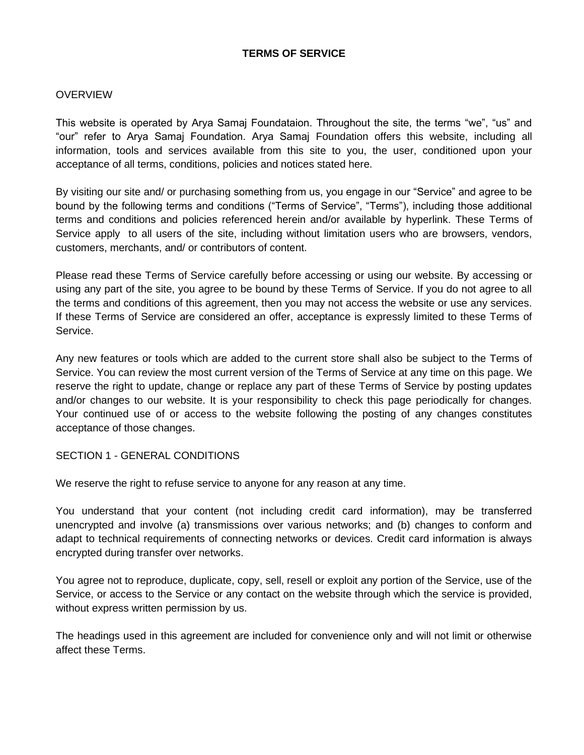# **TERMS OF SERVICE**

#### **OVERVIEW**

This website is operated by Arya Samaj Foundataion. Throughout the site, the terms "we", "us" and "our" refer to Arya Samaj Foundation. Arya Samaj Foundation offers this website, including all information, tools and services available from this site to you, the user, conditioned upon your acceptance of all terms, conditions, policies and notices stated here.

By visiting our site and/ or purchasing something from us, you engage in our "Service" and agree to be bound by the following terms and conditions ("Terms of Service", "Terms"), including those additional terms and conditions and policies referenced herein and/or available by hyperlink. These Terms of Service apply to all users of the site, including without limitation users who are browsers, vendors, customers, merchants, and/ or contributors of content.

Please read these Terms of Service carefully before accessing or using our website. By accessing or using any part of the site, you agree to be bound by these Terms of Service. If you do not agree to all the terms and conditions of this agreement, then you may not access the website or use any services. If these Terms of Service are considered an offer, acceptance is expressly limited to these Terms of Service.

Any new features or tools which are added to the current store shall also be subject to the Terms of Service. You can review the most current version of the Terms of Service at any time on this page. We reserve the right to update, change or replace any part of these Terms of Service by posting updates and/or changes to our website. It is your responsibility to check this page periodically for changes. Your continued use of or access to the website following the posting of any changes constitutes acceptance of those changes.

## SECTION 1 - GENERAL CONDITIONS

We reserve the right to refuse service to anyone for any reason at any time.

You understand that your content (not including credit card information), may be transferred unencrypted and involve (a) transmissions over various networks; and (b) changes to conform and adapt to technical requirements of connecting networks or devices. Credit card information is always encrypted during transfer over networks.

You agree not to reproduce, duplicate, copy, sell, resell or exploit any portion of the Service, use of the Service, or access to the Service or any contact on the website through which the service is provided, without express written permission by us.

The headings used in this agreement are included for convenience only and will not limit or otherwise affect these Terms.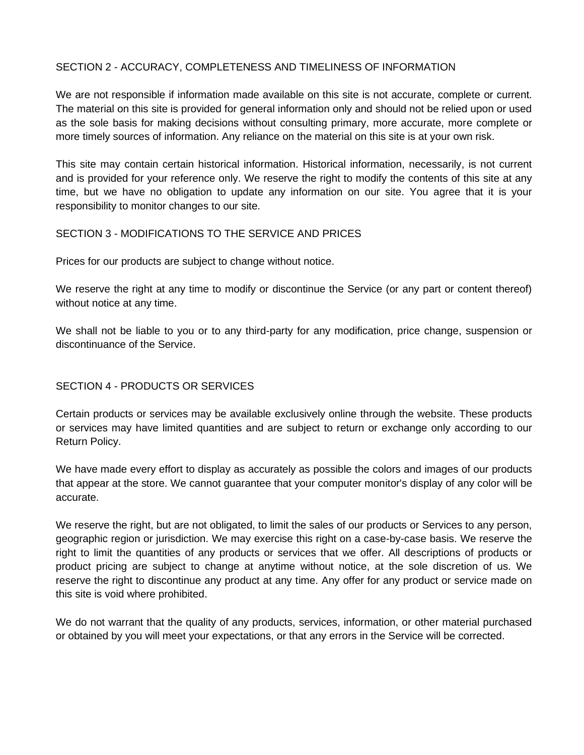# SECTION 2 - ACCURACY, COMPLETENESS AND TIMELINESS OF INFORMATION

We are not responsible if information made available on this site is not accurate, complete or current. The material on this site is provided for general information only and should not be relied upon or used as the sole basis for making decisions without consulting primary, more accurate, more complete or more timely sources of information. Any reliance on the material on this site is at your own risk.

This site may contain certain historical information. Historical information, necessarily, is not current and is provided for your reference only. We reserve the right to modify the contents of this site at any time, but we have no obligation to update any information on our site. You agree that it is your responsibility to monitor changes to our site.

## SECTION 3 - MODIFICATIONS TO THE SERVICE AND PRICES

Prices for our products are subject to change without notice.

We reserve the right at any time to modify or discontinue the Service (or any part or content thereof) without notice at any time.

We shall not be liable to you or to any third-party for any modification, price change, suspension or discontinuance of the Service.

## SECTION 4 - PRODUCTS OR SERVICES

Certain products or services may be available exclusively online through the website. These products or services may have limited quantities and are subject to return or exchange only according to our Return Policy.

We have made every effort to display as accurately as possible the colors and images of our products that appear at the store. We cannot guarantee that your computer monitor's display of any color will be accurate.

We reserve the right, but are not obligated, to limit the sales of our products or Services to any person, geographic region or jurisdiction. We may exercise this right on a case-by-case basis. We reserve the right to limit the quantities of any products or services that we offer. All descriptions of products or product pricing are subject to change at anytime without notice, at the sole discretion of us. We reserve the right to discontinue any product at any time. Any offer for any product or service made on this site is void where prohibited.

We do not warrant that the quality of any products, services, information, or other material purchased or obtained by you will meet your expectations, or that any errors in the Service will be corrected.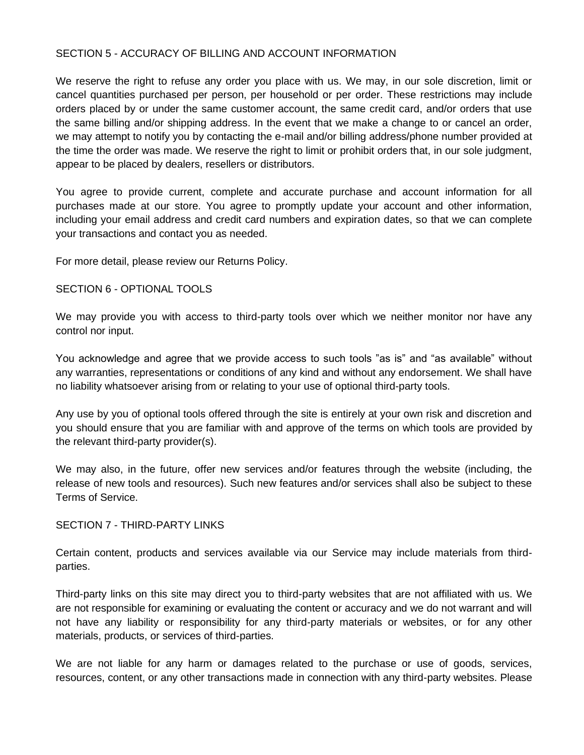## SECTION 5 - ACCURACY OF BILLING AND ACCOUNT INFORMATION

We reserve the right to refuse any order you place with us. We may, in our sole discretion, limit or cancel quantities purchased per person, per household or per order. These restrictions may include orders placed by or under the same customer account, the same credit card, and/or orders that use the same billing and/or shipping address. In the event that we make a change to or cancel an order, we may attempt to notify you by contacting the e-mail and/or billing address/phone number provided at the time the order was made. We reserve the right to limit or prohibit orders that, in our sole judgment, appear to be placed by dealers, resellers or distributors.

You agree to provide current, complete and accurate purchase and account information for all purchases made at our store. You agree to promptly update your account and other information, including your email address and credit card numbers and expiration dates, so that we can complete your transactions and contact you as needed.

For more detail, please review our Returns Policy.

## SECTION 6 - OPTIONAL TOOLS

We may provide you with access to third-party tools over which we neither monitor nor have any control nor input.

You acknowledge and agree that we provide access to such tools "as is" and "as available" without any warranties, representations or conditions of any kind and without any endorsement. We shall have no liability whatsoever arising from or relating to your use of optional third-party tools.

Any use by you of optional tools offered through the site is entirely at your own risk and discretion and you should ensure that you are familiar with and approve of the terms on which tools are provided by the relevant third-party provider(s).

We may also, in the future, offer new services and/or features through the website (including, the release of new tools and resources). Such new features and/or services shall also be subject to these Terms of Service.

#### SECTION 7 - THIRD-PARTY LINKS

Certain content, products and services available via our Service may include materials from thirdparties.

Third-party links on this site may direct you to third-party websites that are not affiliated with us. We are not responsible for examining or evaluating the content or accuracy and we do not warrant and will not have any liability or responsibility for any third-party materials or websites, or for any other materials, products, or services of third-parties.

We are not liable for any harm or damages related to the purchase or use of goods, services, resources, content, or any other transactions made in connection with any third-party websites. Please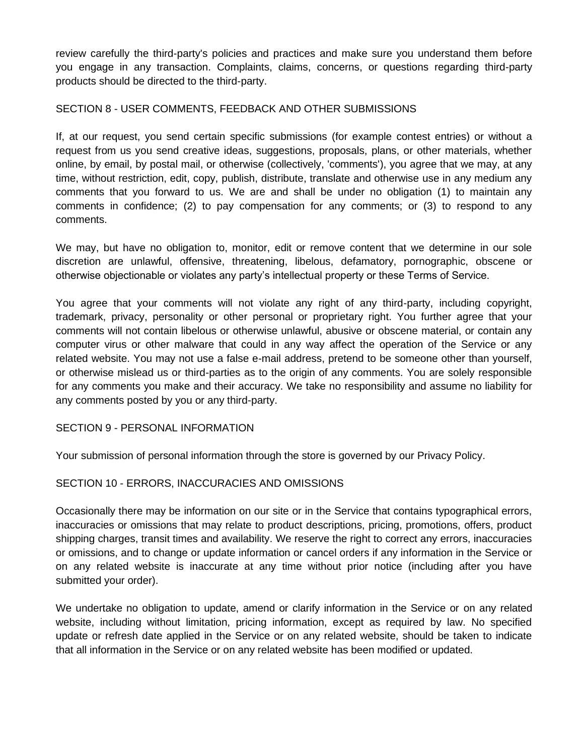review carefully the third-party's policies and practices and make sure you understand them before you engage in any transaction. Complaints, claims, concerns, or questions regarding third-party products should be directed to the third-party.

## SECTION 8 - USER COMMENTS, FEEDBACK AND OTHER SUBMISSIONS

If, at our request, you send certain specific submissions (for example contest entries) or without a request from us you send creative ideas, suggestions, proposals, plans, or other materials, whether online, by email, by postal mail, or otherwise (collectively, 'comments'), you agree that we may, at any time, without restriction, edit, copy, publish, distribute, translate and otherwise use in any medium any comments that you forward to us. We are and shall be under no obligation (1) to maintain any comments in confidence; (2) to pay compensation for any comments; or (3) to respond to any comments.

We may, but have no obligation to, monitor, edit or remove content that we determine in our sole discretion are unlawful, offensive, threatening, libelous, defamatory, pornographic, obscene or otherwise objectionable or violates any party's intellectual property or these Terms of Service.

You agree that your comments will not violate any right of any third-party, including copyright, trademark, privacy, personality or other personal or proprietary right. You further agree that your comments will not contain libelous or otherwise unlawful, abusive or obscene material, or contain any computer virus or other malware that could in any way affect the operation of the Service or any related website. You may not use a false e-mail address, pretend to be someone other than yourself, or otherwise mislead us or third-parties as to the origin of any comments. You are solely responsible for any comments you make and their accuracy. We take no responsibility and assume no liability for any comments posted by you or any third-party.

#### SECTION 9 - PERSONAL INFORMATION

Your submission of personal information through the store is governed by our Privacy Policy.

## SECTION 10 - ERRORS, INACCURACIES AND OMISSIONS

Occasionally there may be information on our site or in the Service that contains typographical errors, inaccuracies or omissions that may relate to product descriptions, pricing, promotions, offers, product shipping charges, transit times and availability. We reserve the right to correct any errors, inaccuracies or omissions, and to change or update information or cancel orders if any information in the Service or on any related website is inaccurate at any time without prior notice (including after you have submitted your order).

We undertake no obligation to update, amend or clarify information in the Service or on any related website, including without limitation, pricing information, except as required by law. No specified update or refresh date applied in the Service or on any related website, should be taken to indicate that all information in the Service or on any related website has been modified or updated.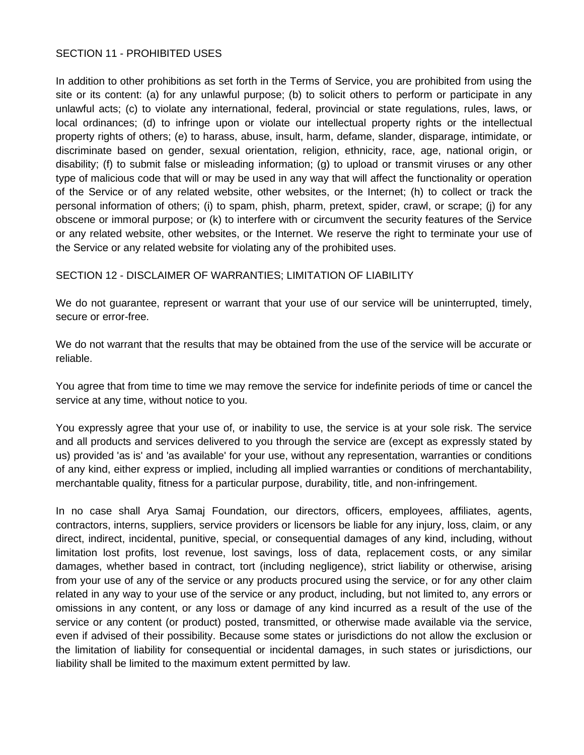#### SECTION 11 - PROHIBITED USES

In addition to other prohibitions as set forth in the Terms of Service, you are prohibited from using the site or its content: (a) for any unlawful purpose; (b) to solicit others to perform or participate in any unlawful acts; (c) to violate any international, federal, provincial or state regulations, rules, laws, or local ordinances; (d) to infringe upon or violate our intellectual property rights or the intellectual property rights of others; (e) to harass, abuse, insult, harm, defame, slander, disparage, intimidate, or discriminate based on gender, sexual orientation, religion, ethnicity, race, age, national origin, or disability; (f) to submit false or misleading information; (g) to upload or transmit viruses or any other type of malicious code that will or may be used in any way that will affect the functionality or operation of the Service or of any related website, other websites, or the Internet; (h) to collect or track the personal information of others; (i) to spam, phish, pharm, pretext, spider, crawl, or scrape; (j) for any obscene or immoral purpose; or (k) to interfere with or circumvent the security features of the Service or any related website, other websites, or the Internet. We reserve the right to terminate your use of the Service or any related website for violating any of the prohibited uses.

## SECTION 12 - DISCLAIMER OF WARRANTIES; LIMITATION OF LIABILITY

We do not guarantee, represent or warrant that your use of our service will be uninterrupted, timely, secure or error-free.

We do not warrant that the results that may be obtained from the use of the service will be accurate or reliable.

You agree that from time to time we may remove the service for indefinite periods of time or cancel the service at any time, without notice to you.

You expressly agree that your use of, or inability to use, the service is at your sole risk. The service and all products and services delivered to you through the service are (except as expressly stated by us) provided 'as is' and 'as available' for your use, without any representation, warranties or conditions of any kind, either express or implied, including all implied warranties or conditions of merchantability, merchantable quality, fitness for a particular purpose, durability, title, and non-infringement.

In no case shall Arya Samaj Foundation, our directors, officers, employees, affiliates, agents, contractors, interns, suppliers, service providers or licensors be liable for any injury, loss, claim, or any direct, indirect, incidental, punitive, special, or consequential damages of any kind, including, without limitation lost profits, lost revenue, lost savings, loss of data, replacement costs, or any similar damages, whether based in contract, tort (including negligence), strict liability or otherwise, arising from your use of any of the service or any products procured using the service, or for any other claim related in any way to your use of the service or any product, including, but not limited to, any errors or omissions in any content, or any loss or damage of any kind incurred as a result of the use of the service or any content (or product) posted, transmitted, or otherwise made available via the service, even if advised of their possibility. Because some states or jurisdictions do not allow the exclusion or the limitation of liability for consequential or incidental damages, in such states or jurisdictions, our liability shall be limited to the maximum extent permitted by law.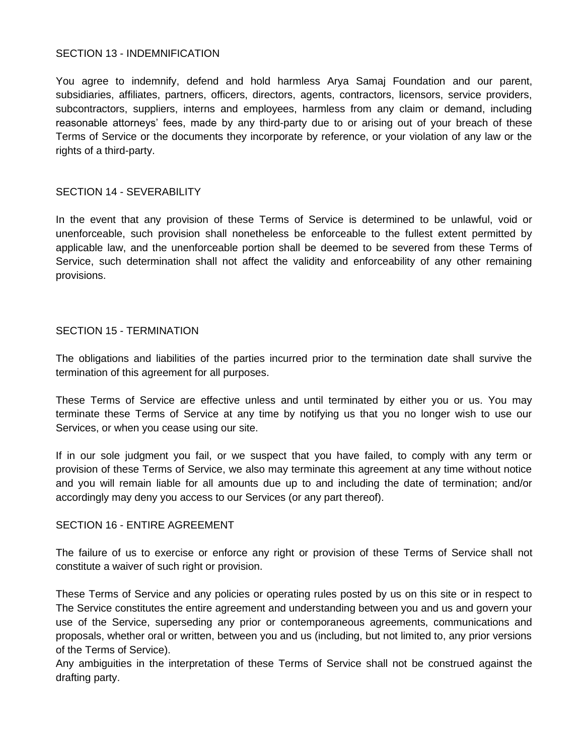#### SECTION 13 - INDEMNIFICATION

You agree to indemnify, defend and hold harmless Arya Samaj Foundation and our parent, subsidiaries, affiliates, partners, officers, directors, agents, contractors, licensors, service providers, subcontractors, suppliers, interns and employees, harmless from any claim or demand, including reasonable attorneys' fees, made by any third-party due to or arising out of your breach of these Terms of Service or the documents they incorporate by reference, or your violation of any law or the rights of a third-party.

#### SECTION 14 - SEVERABILITY

In the event that any provision of these Terms of Service is determined to be unlawful, void or unenforceable, such provision shall nonetheless be enforceable to the fullest extent permitted by applicable law, and the unenforceable portion shall be deemed to be severed from these Terms of Service, such determination shall not affect the validity and enforceability of any other remaining provisions.

## SECTION 15 - TERMINATION

The obligations and liabilities of the parties incurred prior to the termination date shall survive the termination of this agreement for all purposes.

These Terms of Service are effective unless and until terminated by either you or us. You may terminate these Terms of Service at any time by notifying us that you no longer wish to use our Services, or when you cease using our site.

If in our sole judgment you fail, or we suspect that you have failed, to comply with any term or provision of these Terms of Service, we also may terminate this agreement at any time without notice and you will remain liable for all amounts due up to and including the date of termination; and/or accordingly may deny you access to our Services (or any part thereof).

# SECTION 16 - ENTIRE AGREEMENT

The failure of us to exercise or enforce any right or provision of these Terms of Service shall not constitute a waiver of such right or provision.

These Terms of Service and any policies or operating rules posted by us on this site or in respect to The Service constitutes the entire agreement and understanding between you and us and govern your use of the Service, superseding any prior or contemporaneous agreements, communications and proposals, whether oral or written, between you and us (including, but not limited to, any prior versions of the Terms of Service).

Any ambiguities in the interpretation of these Terms of Service shall not be construed against the drafting party.